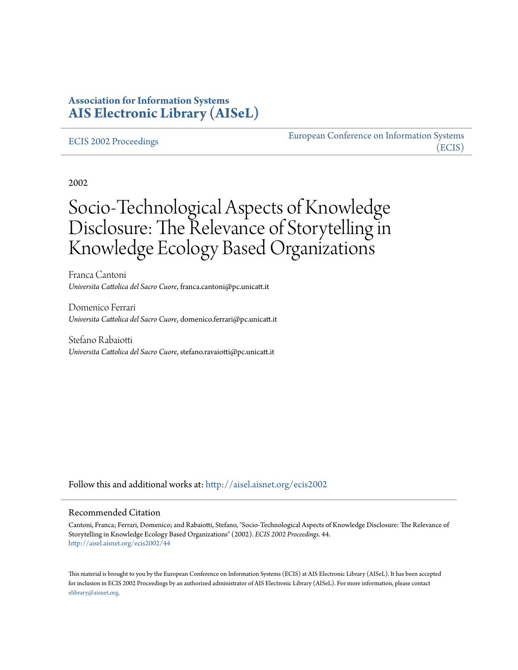## **Association for Information Systems [AIS Electronic Library \(AISeL\)](http://aisel.aisnet.org?utm_source=aisel.aisnet.org%2Fecis2002%2F44&utm_medium=PDF&utm_campaign=PDFCoverPages)**

#### [ECIS 2002 Proceedings](http://aisel.aisnet.org/ecis2002?utm_source=aisel.aisnet.org%2Fecis2002%2F44&utm_medium=PDF&utm_campaign=PDFCoverPages)

[European Conference on Information Systems](http://aisel.aisnet.org/ecis?utm_source=aisel.aisnet.org%2Fecis2002%2F44&utm_medium=PDF&utm_campaign=PDFCoverPages) [\(ECIS\)](http://aisel.aisnet.org/ecis?utm_source=aisel.aisnet.org%2Fecis2002%2F44&utm_medium=PDF&utm_campaign=PDFCoverPages)

2002

# Socio-Technological Aspects of Knowledge Disclosure: The Relevance of Storytelling in Knowledge Ecology Based Organizations

Franca Cantoni *Universita Cattolica del Sacro Cuore*, franca.cantoni@pc.unicatt.it

Domenico Ferrari *Universita Cattolica del Sacro Cuore*, domenico.ferrari@pc.unicatt.it

Stefano Rabaiotti *Universita Cattolica del Sacro Cuore*, stefano.ravaiotti@pc.unicatt.it

Follow this and additional works at: [http://aisel.aisnet.org/ecis2002](http://aisel.aisnet.org/ecis2002?utm_source=aisel.aisnet.org%2Fecis2002%2F44&utm_medium=PDF&utm_campaign=PDFCoverPages)

#### Recommended Citation

Cantoni, Franca; Ferrari, Domenico; and Rabaiotti, Stefano, "Socio-Technological Aspects of Knowledge Disclosure: The Relevance of Storytelling in Knowledge Ecology Based Organizations" (2002). *ECIS 2002 Proceedings*. 44. [http://aisel.aisnet.org/ecis2002/44](http://aisel.aisnet.org/ecis2002/44?utm_source=aisel.aisnet.org%2Fecis2002%2F44&utm_medium=PDF&utm_campaign=PDFCoverPages)

This material is brought to you by the European Conference on Information Systems (ECIS) at AIS Electronic Library (AISeL). It has been accepted for inclusion in ECIS 2002 Proceedings by an authorized administrator of AIS Electronic Library (AISeL). For more information, please contact [elibrary@aisnet.org.](mailto:elibrary@aisnet.org%3E)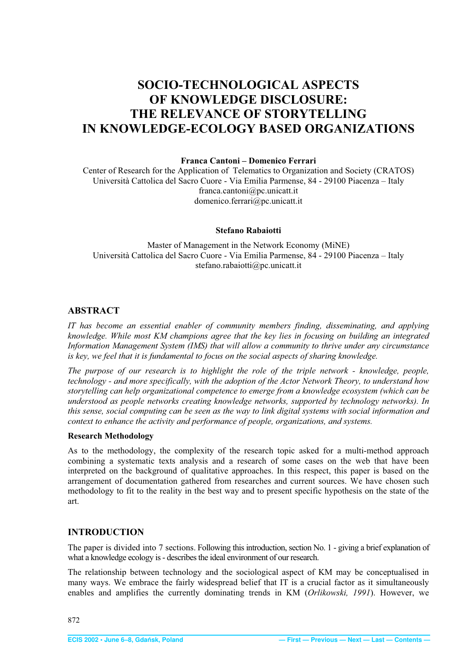## <span id="page-1-0"></span>**SOCIO-TECHNOLOGICAL ASPECTS OF KNOWLEDGE DISCLOSURE: THE RELEVANCE OF STORYTELLING IN KNOWLEDGE-ECOLOGY BASED ORGANIZATIONS**

#### **Franca Cantoni – Domenico Ferrari**

Center of Research for the Application of Telematics to Organization and Society (CRATOS) Università Cattolica del Sacro Cuore - Via Emilia Parmense, 84 - 29100 Piacenza – Italy franca.cantoni@pc.unicatt.it domenico.ferrari@pc.unicatt.it

#### **Stefano Rabaiotti**

Master of Management in the Network Economy (MiNE) Università Cattolica del Sacro Cuore - Via Emilia Parmense, 84 - 29100 Piacenza – Italy stefano.rabaiotti@pc.unicatt.it

#### **ABSTRACT**

*IT has become an essential enabler of community members finding, disseminating, and applying knowledge. While most KM champions agree that the key lies in focusing on building an integrated Information Management System (IMS) that will allow a community to thrive under any circumstance is key, we feel that it is fundamental to focus on the social aspects of sharing knowledge.* 

*The purpose of our research is to highlight the role of the triple network - knowledge, people, technology - and more specifically, with the adoption of the Actor Network Theory, to understand how storytelling can help organizational competence to emerge from a knowledge ecosystem (which can be understood as people networks creating knowledge networks, supported by technology networks). In this sense, social computing can be seen as the way to link digital systems with social information and context to enhance the activity and performance of people, organizations, and systems.* 

#### **Research Methodology**

As to the methodology, the complexity of the research topic asked for a multi-method approach combining a systematic texts analysis and a research of some cases on the web that have been interpreted on the background of qualitative approaches. In this respect, this paper is based on the arrangement of documentation gathered from researches and current sources. We have chosen such methodology to fit to the reality in the best way and to present specific hypothesis on the state of the art.

#### **INTRODUCTION**

The paper is divided into 7 sections. Following this introduction, section No. 1 - giving a brief explanation of what a knowledge ecology is - describes the ideal environment of our research.

The relationship between technology and the sociological aspect of KM may be conceptualised in many ways. We embrace the fairly widespread belief that IT is a crucial factor as it simultaneously enables and amplifies the currently dominating trends in KM (*Orlikowski, 1991*). However, we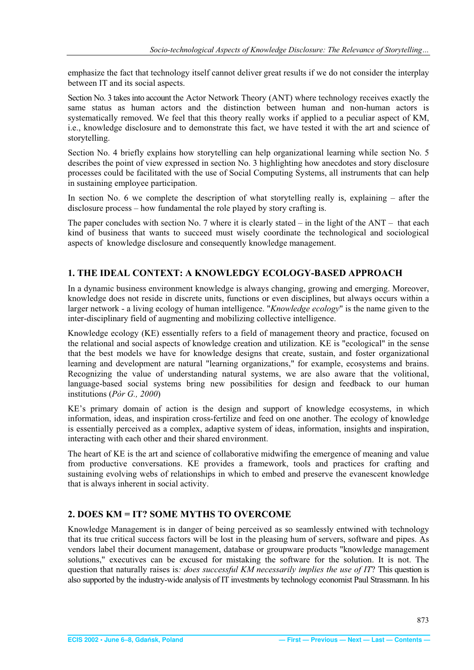<span id="page-2-0"></span>emphasize the fact that technology itself cannot deliver great results if we do not consider the interplay between IT and its social aspects.

Section No. 3 takes into account the Actor Network Theory (ANT) where technology receives exactly the same status as human actors and the distinction between human and non-human actors is systematically removed. We feel that this theory really works if applied to a peculiar aspect of KM, i.e., knowledge disclosure and to demonstrate this fact, we have tested it with the art and science of storytelling.

Section No. 4 briefly explains how storytelling can help organizational learning while section No. 5 describes the point of view expressed in section No. 3 highlighting how anecdotes and story disclosure processes could be facilitated with the use of Social Computing Systems, all instruments that can help in sustaining employee participation.

In section No. 6 we complete the description of what storytelling really is, explaining – after the disclosure process – how fundamental the role played by story crafting is.

The paper concludes with section No. 7 where it is clearly stated – in the light of the  $ANT -$  that each kind of business that wants to succeed must wisely coordinate the technological and sociological aspects of knowledge disclosure and consequently knowledge management.

## **1. THE IDEAL CONTEXT: A KNOWLEDGY ECOLOGY-BASED APPROACH**

In a dynamic business environment knowledge is always changing, growing and emerging. Moreover, knowledge does not reside in discrete units, functions or even disciplines, but always occurs within a larger network - a living ecology of human intelligence. "*Knowledge ecology*" is the name given to the inter-disciplinary field of augmenting and mobilizing collective intelligence.

Knowledge ecology (KE) essentially refers to a field of management theory and practice, focused on the relational and social aspects of knowledge creation and utilization. KE is "ecological" in the sense that the best models we have for knowledge designs that create, sustain, and foster organizational learning and development are natural "learning organizations," for example, ecosystems and brains. Recognizing the value of understanding natural systems, we are also aware that the volitional, language-based social systems bring new possibilities for design and feedback to our human institutions (*Pòr G., 2000*)

KE's primary domain of action is the design and support of knowledge ecosystems, in which information, ideas, and inspiration cross-fertilize and feed on one another. The ecology of knowledge is essentially perceived as a complex, adaptive system of ideas, information, insights and inspiration, interacting with each other and their shared environment.

The heart of KE is the art and science of collaborative midwifing the emergence of meaning and value from productive conversations. KE provides a framework, tools and practices for crafting and sustaining evolving webs of relationships in which to embed and preserve the evanescent knowledge that is always inherent in social activity.

## **2. DOES KM = IT? SOME MYTHS TO OVERCOME**

Knowledge Management is in danger of being perceived as so seamlessly entwined with technology that its true critical success factors will be lost in the pleasing hum of servers, software and pipes. As vendors label their document management, database or groupware products "knowledge management solutions," executives can be excused for mistaking the software for the solution. It is not. The question that naturally raises is*: does successful KM necessarily implies the use of IT*? This question is also supported by the industry-wide analysis of IT investments by technology economist Paul Strassmann. In his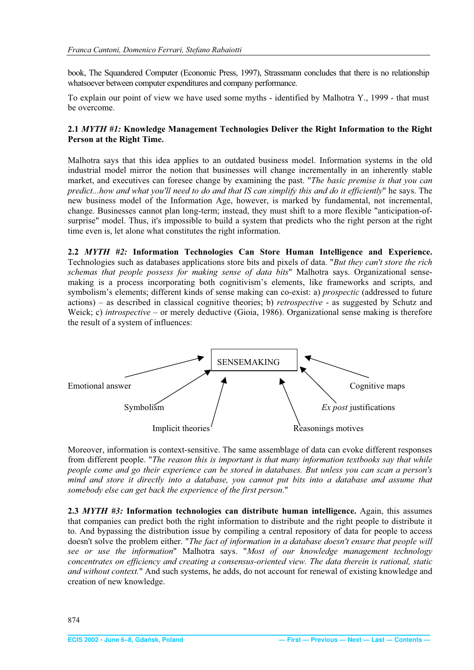<span id="page-3-0"></span>book, The Squandered Computer (Economic Press, 1997), Strassmann concludes that there is no relationship whatsoever between computer expenditures and company performance.

To explain our point of view we have used some myths - identified by Malhotra Y., 1999 - that must be overcome.

## **2.1** *MYTH #1:* **Knowledge Management Technologies Deliver the Right Information to the Right Person at the Right Time.**

Malhotra says that this idea applies to an outdated business model. Information systems in the old industrial model mirror the notion that businesses will change incrementally in an inherently stable market, and executives can foresee change by examining the past. "*The basic premise is that you can predict...how and what you'll need to do and that IS can simplify this and do it efficiently*" he says. The new business model of the Information Age, however, is marked by fundamental, not incremental, change. Businesses cannot plan long-term; instead, they must shift to a more flexible "anticipation-ofsurprise" model. Thus, it's impossible to build a system that predicts who the right person at the right time even is, let alone what constitutes the right information.

**2.2** *MYTH #2:* **Information Technologies Can Store Human Intelligence and Experience.** Technologies such as databases applications store bits and pixels of data. "*But they can't store the rich schemas that people possess for making sense of data bits*" Malhotra says. Organizational sensemaking is a process incorporating both cognitivism's elements, like frameworks and scripts, and symbolism's elements; different kinds of sense making can co-exist: a) *prospectic* (addressed to future actions) – as described in classical cognitive theories; b) *retrospective* - as suggested by Schutz and Weick; c) *introspective* – or merely deductive (Gioia, 1986). Organizational sense making is therefore the result of a system of influences:



Moreover, information is context-sensitive. The same assemblage of data can evoke different responses from different people. "*The reason this is important is that many information textbooks say that while people come and go their experience can be stored in databases. But unless you can scan a person's mind and store it directly into a database, you cannot put bits into a database and assume that somebody else can get back the experience of the first person*."

**2.3** *MYTH #3:* **Information technologies can distribute human intelligence.** Again, this assumes that companies can predict both the right information to distribute and the right people to distribute it to. And bypassing the distribution issue by compiling a central repository of data for people to access doesn't solve the problem either. "*The fact of information in a database doesn't ensure that people will see or use the information*" Malhotra says. "*Most of our knowledge management technology concentrates on efficiency and creating a consensus-oriented view. The data therein is rational, static and without context.*" And such systems, he adds, do not account for renewal of existing knowledge and creation of new knowledge.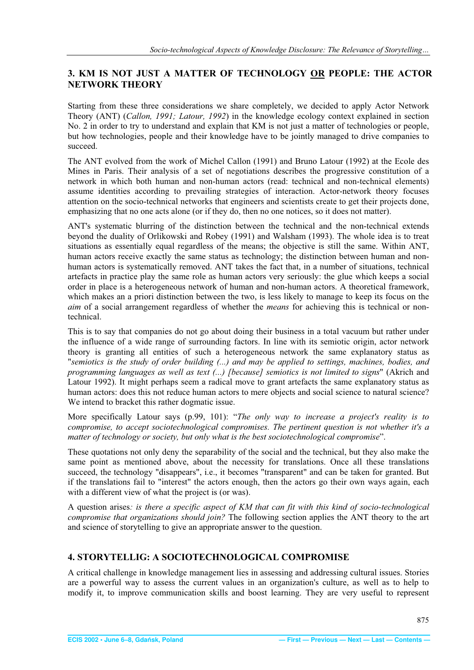## <span id="page-4-0"></span>**3. KM IS NOT JUST A MATTER OF TECHNOLOGY OR PEOPLE: THE ACTOR NETWORK THEORY**

Starting from these three considerations we share completely, we decided to apply Actor Network Theory (ANT) (*Callon, 1991; Latour, 1992*) in the knowledge ecology context explained in section No. 2 in order to try to understand and explain that KM is not just a matter of technologies or people, but how technologies, people and their knowledge have to be jointly managed to drive companies to succeed.

The ANT evolved from the work of Michel Callon (1991) and Bruno Latour (1992) at the Ecole des Mines in Paris. Their analysis of a set of negotiations describes the progressive constitution of a network in which both human and non-human actors (read: technical and non-technical elements) assume identities according to prevailing strategies of interaction. Actor-network theory focuses attention on the socio-technical networks that engineers and scientists create to get their projects done, emphasizing that no one acts alone (or if they do, then no one notices, so it does not matter).

ANT's systematic blurring of the distinction between the technical and the non-technical extends beyond the duality of Orlikowski and Robey (1991) and Walsham (1993). The whole idea is to treat situations as essentially equal regardless of the means; the objective is still the same. Within ANT, human actors receive exactly the same status as technology; the distinction between human and nonhuman actors is systematically removed. ANT takes the fact that, in a number of situations, technical artefacts in practice play the same role as human actors very seriously: the glue which keeps a social order in place is a heterogeneous network of human and non-human actors. A theoretical framework, which makes an a priori distinction between the two, is less likely to manage to keep its focus on the *aim* of a social arrangement regardless of whether the *means* for achieving this is technical or nontechnical.

This is to say that companies do not go about doing their business in a total vacuum but rather under the influence of a wide range of surrounding factors. In line with its semiotic origin, actor network theory is granting all entities of such a heterogeneous network the same explanatory status as "*semiotics is the study of order building (...) and may be applied to settings, machines, bodies, and programming languages as well as text (...) [because] semiotics is not limited to signs*" (Akrich and Latour 1992). It might perhaps seem a radical move to grant artefacts the same explanatory status as human actors: does this not reduce human actors to mere objects and social science to natural science? We intend to bracket this rather dogmatic issue.

More specifically Latour says (p.99, 101): "*The only way to increase a project's reality is to compromise, to accept sociotechnological compromises. The pertinent question is not whether it's a matter of technology or society, but only what is the best sociotechnological compromise*".

These quotations not only deny the separability of the social and the technical, but they also make the same point as mentioned above, about the necessity for translations. Once all these translations succeed, the technology "disappears", i.e., it becomes "transparent" and can be taken for granted. But if the translations fail to "interest" the actors enough, then the actors go their own ways again, each with a different view of what the project is (or was).

A question arises*: is there a specific aspect of KM that can fit with this kind of socio-technological compromise that organizations should join?* The following section applies the ANT theory to the art and science of storytelling to give an appropriate answer to the question.

## **4. STORYTELLIG: A SOCIOTECHNOLOGICAL COMPROMISE**

A critical challenge in knowledge management lies in assessing and addressing cultural issues. Stories are a powerful way to assess the current values in an organization's culture, as well as to help to modify it, to improve communication skills and boost learning. They are very useful to represent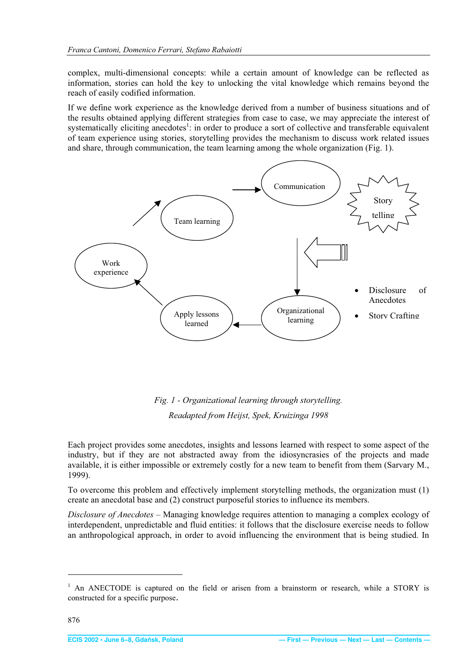<span id="page-5-0"></span>complex, multi-dimensional concepts: while a certain amount of knowledge can be reflected as information, stories can hold the key to unlocking the vital knowledge which remains beyond the reach of easily codified information.

If we define work experience as the knowledge derived from a number of business situations and of the results obtained applying different strategies from case to case, we may appreciate the interest of systematically eliciting anecdotes<sup>1</sup>: in order to produce a sort of collective and transferable equivalent of team experience using stories, storytelling provides the mechanism to discuss work related issues and share, through communication, the team learning among the whole organization (Fig. 1).



*Fig. 1 - Organizational learning through storytelling. Readapted from Heijst, Spek, Kruizinga 1998* 

Each project provides some anecdotes, insights and lessons learned with respect to some aspect of the industry, but if they are not abstracted away from the idiosyncrasies of the projects and made available, it is either impossible or extremely costly for a new team to benefit from them (Sarvary M., 1999).

To overcome this problem and effectively implement storytelling methods, the organization must (1) create an anecdotal base and (2) construct purposeful stories to influence its members.

*Disclosure of Anecdotes* – Managing knowledge requires attention to managing a complex ecology of interdependent, unpredictable and fluid entities: it follows that the disclosure exercise needs to follow an anthropological approach, in order to avoid influencing the environment that is being studied. In

<sup>&</sup>lt;sup>1</sup> An ANECTODE is captured on the field or arisen from a brainstorm or research, while a STORY is constructed for a specific purpose.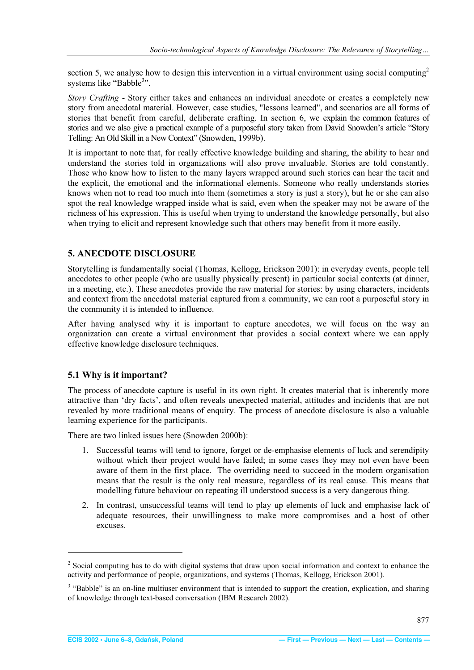<span id="page-6-0"></span>section 5, we analyse how to design this intervention in a virtual environment using social computing<sup>2</sup> systems like "Babble<sup>3</sup>".

*Story Crafting* - Story either takes and enhances an individual anecdote or creates a completely new story from anecdotal material. However, case studies, "lessons learned", and scenarios are all forms of stories that benefit from careful, deliberate crafting. In section 6, we explain the common features of stories and we also give a practical example of a purposeful story taken from David Snowden's article "Story Telling: An Old Skill in a New Context" (Snowden, 1999b).

It is important to note that, for really effective knowledge building and sharing, the ability to hear and understand the stories told in organizations will also prove invaluable. Stories are told constantly. Those who know how to listen to the many layers wrapped around such stories can hear the tacit and the explicit, the emotional and the informational elements. Someone who really understands stories knows when not to read too much into them (sometimes a story is just a story), but he or she can also spot the real knowledge wrapped inside what is said, even when the speaker may not be aware of the richness of his expression. This is useful when trying to understand the knowledge personally, but also when trying to elicit and represent knowledge such that others may benefit from it more easily.

## **5. ANECDOTE DISCLOSURE**

Storytelling is fundamentally social (Thomas, Kellogg, Erickson 2001): in everyday events, people tell anecdotes to other people (who are usually physically present) in particular social contexts (at dinner, in a meeting, etc.). These anecdotes provide the raw material for stories: by using characters, incidents and context from the anecdotal material captured from a community, we can root a purposeful story in the community it is intended to influence.

After having analysed why it is important to capture anecdotes, we will focus on the way an organization can create a virtual environment that provides a social context where we can apply effective knowledge disclosure techniques.

## **5.1 Why is it important?**

The process of anecdote capture is useful in its own right. It creates material that is inherently more attractive than 'dry facts', and often reveals unexpected material, attitudes and incidents that are not revealed by more traditional means of enquiry. The process of anecdote disclosure is also a valuable learning experience for the participants.

There are two linked issues here (Snowden 2000b):

- 1. Successful teams will tend to ignore, forget or de-emphasise elements of luck and serendipity without which their project would have failed; in some cases they may not even have been aware of them in the first place. The overriding need to succeed in the modern organisation means that the result is the only real measure, regardless of its real cause. This means that modelling future behaviour on repeating ill understood success is a very dangerous thing.
- 2. In contrast, unsuccessful teams will tend to play up elements of luck and emphasise lack of adequate resources, their unwillingness to make more compromises and a host of other excuses.

 $2^2$  Social computing has to do with digital systems that draw upon social information and context to enhance the activity and performance of people, organizations, and systems (Thomas, Kellogg, Erickson 2001).

<sup>&</sup>lt;sup>3</sup> "Babble" is an on-line multiuser environment that is intended to support the creation, explication, and sharing of knowledge through text-based conversation (IBM Research 2002).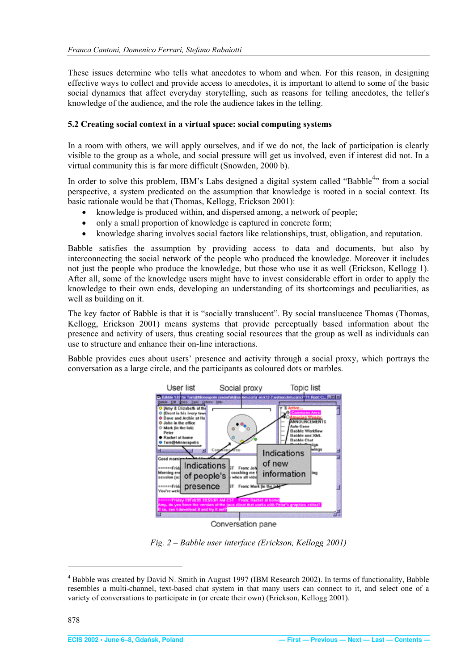<span id="page-7-0"></span>These issues determine who tells what anecdotes to whom and when. For this reason, in designing effective ways to collect and provide access to anecdotes, it is important to attend to some of the basic social dynamics that affect everyday storytelling, such as reasons for telling anecdotes, the teller's knowledge of the audience, and the role the audience takes in the telling.

### **5.2 Creating social context in a virtual space: social computing systems**

In a room with others, we will apply ourselves, and if we do not, the lack of participation is clearly visible to the group as a whole, and social pressure will get us involved, even if interest did not. In a virtual community this is far more difficult (Snowden, 2000 b).

In order to solve this problem, IBM's Labs designed a digital system called "Babble<sup>4</sup>" from a social perspective, a system predicated on the assumption that knowledge is rooted in a social context. Its basic rationale would be that (Thomas, Kellogg, Erickson 2001):

- knowledge is produced within, and dispersed among, a network of people;
- only a small proportion of knowledge is captured in concrete form;
- knowledge sharing involves social factors like relationships, trust, obligation, and reputation.

Babble satisfies the assumption by providing access to data and documents, but also by interconnecting the social network of the people who produced the knowledge. Moreover it includes not just the people who produce the knowledge, but those who use it as well (Erickson, Kellogg 1). After all, some of the knowledge users might have to invest considerable effort in order to apply the knowledge to their own ends, developing an understanding of its shortcomings and peculiarities, as well as building on it.

The key factor of Babble is that it is "socially translucent". By social translucence Thomas (Thomas, Kellogg, Erickson 2001) means systems that provide perceptually based information about the presence and activity of users, thus creating social resources that the group as well as individuals can use to structure and enhance their on-line interactions.

Babble provides cues about users' presence and activity through a social proxy, which portrays the conversation as a large circle, and the participants as coloured dots or marbles.



*Fig. 2 – Babble user interface (Erickson, Kellogg 2001)* 

<sup>&</sup>lt;sup>4</sup> Babble was created by David N. Smith in August 1997 (IBM Research 2002). In terms of functionality, Babble resembles a multi-channel, text-based chat system in that many users can connect to it, and select one of a variety of conversations to participate in (or create their own) (Erickson, Kellogg 2001).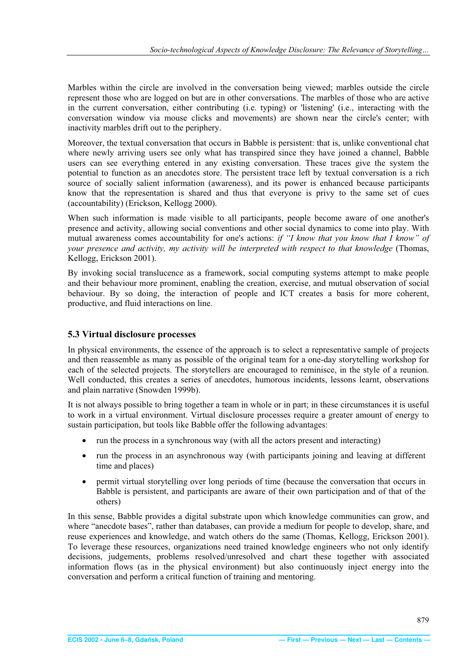<span id="page-8-0"></span>Marbles within the circle are involved in the conversation being viewed; marbles outside the circle represent those who are logged on but are in other conversations. The marbles of those who are active in the current conversation, either contributing (i.e. typing) or 'listening' (i.e., interacting with the conversation window via mouse clicks and movements) are shown near the circle's center; with inactivity marbles drift out to the periphery.

Moreover, the textual conversation that occurs in Babble is persistent: that is, unlike conventional chat where newly arriving users see only what has transpired since they have joined a channel, Babble users can see everything entered in any existing conversation. These traces give the system the potential to function as an anecdotes store. The persistent trace left by textual conversation is a rich source of socially salient information (awareness), and its power is enhanced because participants know that the representation is shared and thus that everyone is privy to the same set of cues (accountability) (Erickson, Kellogg 2000).

When such information is made visible to all participants, people become aware of one another's presence and activity, allowing social conventions and other social dynamics to come into play. With mutual awareness comes accountability for one's actions: *if "I know that you know that I know" of your presence and activity, my activity will be interpreted with respect to that knowledge* (Thomas, Kellogg, Erickson 2001).

By invoking social translucence as a framework, social computing systems attempt to make people and their behaviour more prominent, enabling the creation, exercise, and mutual observation of social behaviour. By so doing, the interaction of people and ICT creates a basis for more coherent, productive, and fluid interactions on line.

## **5.3 Virtual disclosure processes**

In physical environments, the essence of the approach is to select a representative sample of projects and then reassemble as many as possible of the original team for a one-day storytelling workshop for each of the selected projects. The storytellers are encouraged to reminisce, in the style of a reunion. Well conducted, this creates a series of anecdotes, humorous incidents, lessons learnt, observations and plain narrative (Snowden 1999b).

It is not always possible to bring together a team in whole or in part; in these circumstances it is useful to work in a virtual environment. Virtual disclosure processes require a greater amount of energy to sustain participation, but tools like Babble offer the following advantages:

- run the process in a synchronous way (with all the actors present and interacting)
- run the process in an asynchronous way (with participants joining and leaving at different time and places)
- permit virtual storytelling over long periods of time (because the conversation that occurs in Babble is persistent, and participants are aware of their own participation and of that of the others)

In this sense, Babble provides a digital substrate upon which knowledge communities can grow, and where "anecdote bases", rather than databases, can provide a medium for people to develop, share, and reuse experiences and knowledge, and watch others do the same (Thomas, Kellogg, Erickson 2001). To leverage these resources, organizations need trained knowledge engineers who not only identify decisions, judgements, problems resolved/unresolved and chart these together with associated information flows (as in the physical environment) but also continuously inject energy into the conversation and perform a critical function of training and mentoring.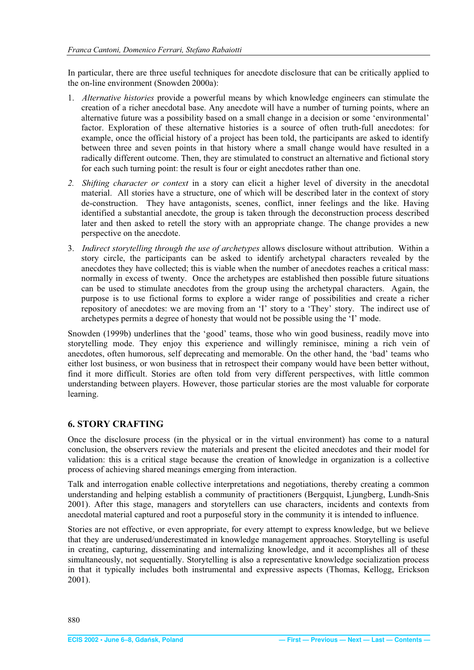<span id="page-9-0"></span>In particular, there are three useful techniques for anecdote disclosure that can be critically applied to the on-line environment (Snowden 2000a):

- 1. *Alternative histories* provide a powerful means by which knowledge engineers can stimulate the creation of a richer anecdotal base. Any anecdote will have a number of turning points, where an alternative future was a possibility based on a small change in a decision or some 'environmental' factor. Exploration of these alternative histories is a source of often truth-full anecdotes: for example, once the official history of a project has been told, the participants are asked to identify between three and seven points in that history where a small change would have resulted in a radically different outcome. Then, they are stimulated to construct an alternative and fictional story for each such turning point: the result is four or eight anecdotes rather than one.
- *2. Shifting character or context* in a story can elicit a higher level of diversity in the anecdotal material. All stories have a structure, one of which will be described later in the context of story de-construction. They have antagonists, scenes, conflict, inner feelings and the like. Having identified a substantial anecdote, the group is taken through the deconstruction process described later and then asked to retell the story with an appropriate change. The change provides a new perspective on the anecdote.
- 3. *Indirect storytelling through the use of archetypes* allows disclosure without attribution. Within a story circle, the participants can be asked to identify archetypal characters revealed by the anecdotes they have collected; this is viable when the number of anecdotes reaches a critical mass: normally in excess of twenty. Once the archetypes are established then possible future situations can be used to stimulate anecdotes from the group using the archetypal characters. Again, the purpose is to use fictional forms to explore a wider range of possibilities and create a richer repository of anecdotes: we are moving from an 'I' story to a 'They' story. The indirect use of archetypes permits a degree of honesty that would not be possible using the 'I' mode.

Snowden (1999b) underlines that the 'good' teams, those who win good business, readily move into storytelling mode. They enjoy this experience and willingly reminisce, mining a rich vein of anecdotes, often humorous, self deprecating and memorable. On the other hand, the 'bad' teams who either lost business, or won business that in retrospect their company would have been better without, find it more difficult. Stories are often told from very different perspectives, with little common understanding between players. However, those particular stories are the most valuable for corporate learning.

## **6. STORY CRAFTING**

Once the disclosure process (in the physical or in the virtual environment) has come to a natural conclusion, the observers review the materials and present the elicited anecdotes and their model for validation: this is a critical stage because the creation of knowledge in organization is a collective process of achieving shared meanings emerging from interaction.

Talk and interrogation enable collective interpretations and negotiations, thereby creating a common understanding and helping establish a community of practitioners (Bergquist, Ljungberg, Lundh-Snis 2001). After this stage, managers and storytellers can use characters, incidents and contexts from anecdotal material captured and root a purposeful story in the community it is intended to influence.

Stories are not effective, or even appropriate, for every attempt to express knowledge, but we believe that they are underused/underestimated in knowledge management approaches. Storytelling is useful in creating, capturing, disseminating and internalizing knowledge, and it accomplishes all of these simultaneously, not sequentially. Storytelling is also a representative knowledge socialization process in that it typically includes both instrumental and expressive aspects (Thomas, Kellogg, Erickson 2001).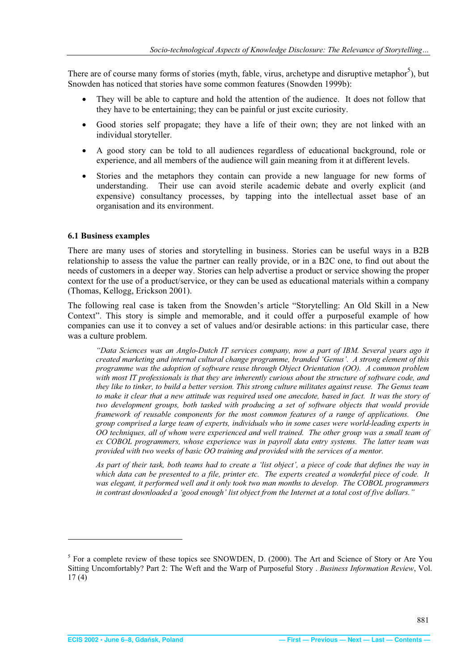<span id="page-10-0"></span>There are of course many forms of stories (myth, fable, virus, archetype and disruptive metaphor<sup>5</sup>), but Snowden has noticed that stories have some common features (Snowden 1999b):

- They will be able to capture and hold the attention of the audience. It does not follow that they have to be entertaining; they can be painful or just excite curiosity.
- Good stories self propagate; they have a life of their own; they are not linked with an individual storyteller.
- x A good story can be told to all audiences regardless of educational background, role or experience, and all members of the audience will gain meaning from it at different levels.
- x Stories and the metaphors they contain can provide a new language for new forms of understanding. Their use can avoid sterile academic debate and overly explicit (and expensive) consultancy processes, by tapping into the intellectual asset base of an organisation and its environment.

#### **6.1 Business examples**

There are many uses of stories and storytelling in business. Stories can be useful ways in a B2B relationship to assess the value the partner can really provide, or in a B2C one, to find out about the needs of customers in a deeper way. Stories can help advertise a product or service showing the proper context for the use of a product/service, or they can be used as educational materials within a company (Thomas, Kellogg, Erickson 2001).

The following real case is taken from the Snowden's article "Storytelling: An Old Skill in a New Context". This story is simple and memorable, and it could offer a purposeful example of how companies can use it to convey a set of values and/or desirable actions: in this particular case, there was a culture problem.

*"Data Sciences was an Anglo-Dutch IT services company, now a part of IBM. Several years ago it created marketing and internal cultural change programme, branded 'Genus'. A strong element of this programme was the adoption of software reuse through Object Orientation (OO). A common problem with most IT professionals is that they are inherently curious about the structure of software code, and they like to tinker, to build a better version. This strong culture militates against reuse. The Genus team to make it clear that a new attitude was required used one anecdote, based in fact. It was the story of two development groups, both tasked with producing a set of software objects that would provide framework of reusable components for the most common features of a range of applications. One group comprised a large team of experts, individuals who in some cases were world-leading experts in OO techniques, all of whom were experienced and well trained. The other group was a small team of ex COBOL programmers, whose experience was in payroll data entry systems. The latter team was provided with two weeks of basic OO training and provided with the services of a mentor.* 

*As part of their task, both teams had to create a 'list object', a piece of code that defines the way in which data can be presented to a file, printer etc. The experts created a wonderful piece of code. It was elegant, it performed well and it only took two man months to develop. The COBOL programmers in contrast downloaded a 'good enough' list object from the Internet at a total cost of five dollars."*

<sup>&</sup>lt;sup>5</sup> For a complete review of these topics see SNOWDEN, D. (2000). The Art and Science of Story or Are You Sitting Uncomfortably? Part 2: The Weft and the Warp of Purposeful Story . *Business Information Review*, Vol. 17 (4)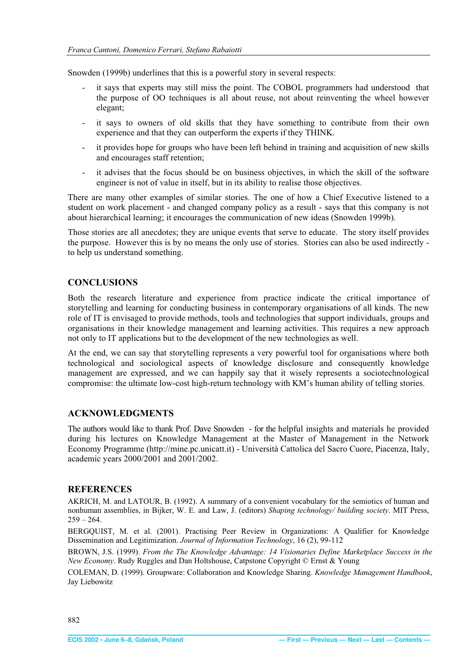<span id="page-11-0"></span>Snowden (1999b) underlines that this is a powerful story in several respects:

- it says that experts may still miss the point. The COBOL programmers had understood that the purpose of OO techniques is all about reuse, not about reinventing the wheel however elegant;
- it says to owners of old skills that they have something to contribute from their own experience and that they can outperform the experts if they THINK.
- it provides hope for groups who have been left behind in training and acquisition of new skills and encourages staff retention;
- it advises that the focus should be on business objectives, in which the skill of the software engineer is not of value in itself, but in its ability to realise those objectives.

There are many other examples of similar stories. The one of how a Chief Executive listened to a student on work placement - and changed company policy as a result - says that this company is not about hierarchical learning; it encourages the communication of new ideas (Snowden 1999b).

Those stories are all anecdotes; they are unique events that serve to educate. The story itself provides the purpose. However this is by no means the only use of stories. Stories can also be used indirectly to help us understand something.

## **CONCLUSIONS**

Both the research literature and experience from practice indicate the critical importance of storytelling and learning for conducting business in contemporary organisations of all kinds. The new role of IT is envisaged to provide methods, tools and technologies that support individuals, groups and organisations in their knowledge management and learning activities. This requires a new approach not only to IT applications but to the development of the new technologies as well.

At the end, we can say that storytelling represents a very powerful tool for organisations where both technological and sociological aspects of knowledge disclosure and consequently knowledge management are expressed, and we can happily say that it wisely represents a sociotechnological compromise: the ultimate low-cost high-return technology with KM's human ability of telling stories.

#### **ACKNOWLEDGMENTS**

The authors would like to thank Prof. Dave Snowden - for the helpful insights and materials he provided during his lectures on Knowledge Management at the Master of Management in the Network Economy Programme (http://mine.pc.unicatt.it) - Università Cattolica del Sacro Cuore, Piacenza, Italy, academic years 2000/2001 and 2001/2002.

#### **REFERENCES**

AKRICH, M. and LATOUR, B. (1992). A summary of a convenient vocabulary for the semiotics of human and nonhuman assemblies, in Bijker, W. E. and Law, J. (editors) *Shaping technology/ building society*. MIT Press,  $259 - 264$ .

BERGQUIST, M. et al. (2001). Practising Peer Review in Organizations: A Qualifier for Knowledge Dissemination and Legitimization. *Journal of Information Technology*, 16 (2), 99-112

BROWN, J.S. (1999). *From the The Knowledge Advantage: 14 Visionaries Define Marketplace Success in the New Economy*. Rudy Ruggles and Dan Holtshouse, Catpstone Copyright © Ernst & Young

COLEMAN, D. (1999). Groupware: Collaboration and Knowledge Sharing. *Knowledge Management Handbook*, Jay Liebowitz